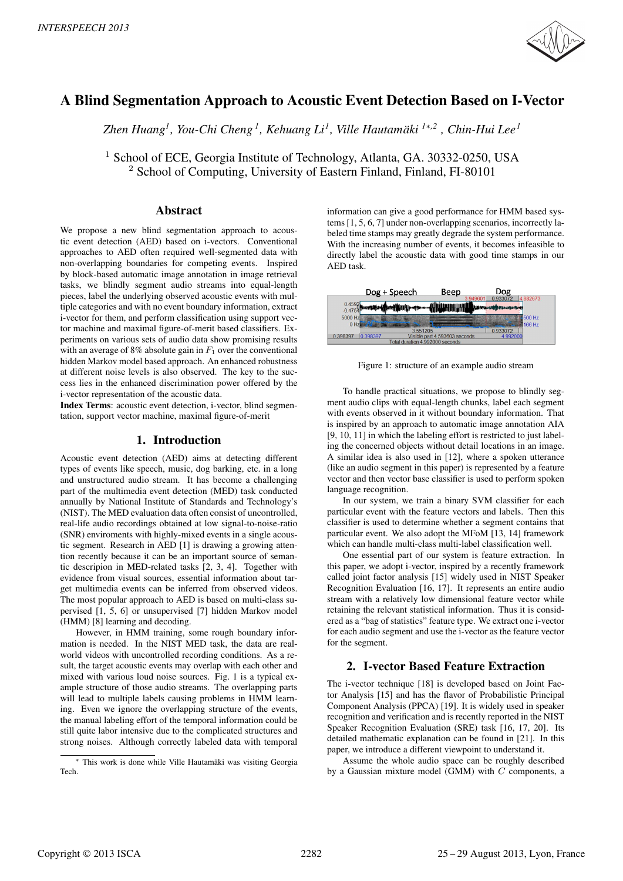

# A Blind Segmentation Approach to Acoustic Event Detection Based on I-Vector

*Zhen Huang<sup>1</sup> , You-Chi Cheng <sup>1</sup> , Kehuang Li<sup>1</sup> , Ville Hautamaki ¨ 1*∗*,2 , Chin-Hui Lee<sup>1</sup>*

<sup>1</sup> School of ECE, Georgia Institute of Technology, Atlanta, GA. 30332-0250, USA <sup>2</sup> School of Computing, University of Eastern Finland, Finland, FI-80101

# Abstract

We propose a new blind segmentation approach to acoustic event detection (AED) based on i-vectors. Conventional approaches to AED often required well-segmented data with non-overlapping boundaries for competing events. Inspired by block-based automatic image annotation in image retrieval tasks, we blindly segment audio streams into equal-length pieces, label the underlying observed acoustic events with multiple categories and with no event boundary information, extract i-vector for them, and perform classification using support vector machine and maximal figure-of-merit based classifiers. Experiments on various sets of audio data show promising results with an average of 8% absolute gain in  $F_1$  over the conventional hidden Markov model based approach. An enhanced robustness at different noise levels is also observed. The key to the success lies in the enhanced discrimination power offered by the i-vector representation of the acoustic data.

Index Terms: acoustic event detection, i-vector, blind segmentation, support vector machine, maximal figure-of-merit

# 1. Introduction

Acoustic event detection (AED) aims at detecting different types of events like speech, music, dog barking, etc. in a long and unstructured audio stream. It has become a challenging part of the multimedia event detection (MED) task conducted annually by National Institute of Standards and Technology's (NIST). The MED evaluation data often consist of uncontrolled, real-life audio recordings obtained at low signal-to-noise-ratio (SNR) enviroments with highly-mixed events in a single acoustic segment. Research in AED [1] is drawing a growing attention recently because it can be an important source of semantic descripion in MED-related tasks [2, 3, 4]. Together with evidence from visual sources, essential information about target multimedia events can be inferred from observed videos. The most popular approach to AED is based on multi-class supervised [1, 5, 6] or unsupervised [7] hidden Markov model (HMM) [8] learning and decoding.

However, in HMM training, some rough boundary information is needed. In the NIST MED task, the data are realworld videos with uncontrolled recording conditions. As a result, the target acoustic events may overlap with each other and mixed with various loud noise sources. Fig. 1 is a typical example structure of those audio streams. The overlapping parts will lead to multiple labels causing problems in HMM learning. Even we ignore the overlapping structure of the events, the manual labeling effort of the temporal information could be still quite labor intensive due to the complicated structures and strong noises. Although correctly labeled data with temporal information can give a good performance for HMM based systems [1, 5, 6, 7] under non-overlapping scenarios, incorrectly labeled time stamps may greatly degrade the system performance. With the increasing number of events, it becomes infeasible to directly label the acoustic data with good time stamps in our AED task.



Figure 1: structure of an example audio stream

To handle practical situations, we propose to blindly segment audio clips with equal-length chunks, label each segment with events observed in it without boundary information. That is inspired by an approach to automatic image annotation AIA [9, 10, 11] in which the labeling effort is restricted to just labeling the concerned objects without detail locations in an image. A similar idea is also used in [12], where a spoken utterance (like an audio segment in this paper) is represented by a feature vector and then vector base classifier is used to perform spoken language recognition.

In our system, we train a binary SVM classifier for each particular event with the feature vectors and labels. Then this classifier is used to determine whether a segment contains that particular event. We also adopt the MFoM [13, 14] framework which can handle multi-class multi-label classification well.

One essential part of our system is feature extraction. In this paper, we adopt i-vector, inspired by a recently framework called joint factor analysis [15] widely used in NIST Speaker Recognition Evaluation [16, 17]. It represents an entire audio stream with a relatively low dimensional feature vector while retaining the relevant statistical information. Thus it is considered as a "bag of statistics" feature type. We extract one i-vector for each audio segment and use the i-vector as the feature vector for the segment.

# 2. I-vector Based Feature Extraction

The i-vector technique [18] is developed based on Joint Factor Analysis [15] and has the flavor of Probabilistic Principal Component Analysis (PPCA) [19]. It is widely used in speaker recognition and verification and is recently reported in the NIST Speaker Recognition Evaluation (SRE) task [16, 17, 20]. Its detailed mathematic explanation can be found in [21]. In this paper, we introduce a different viewpoint to understand it.

Assume the whole audio space can be roughly described by a Gaussian mixture model (GMM) with C components, a

<sup>∗</sup> This work is done while Ville Hautamaki was visiting Georgia ¨ Tech.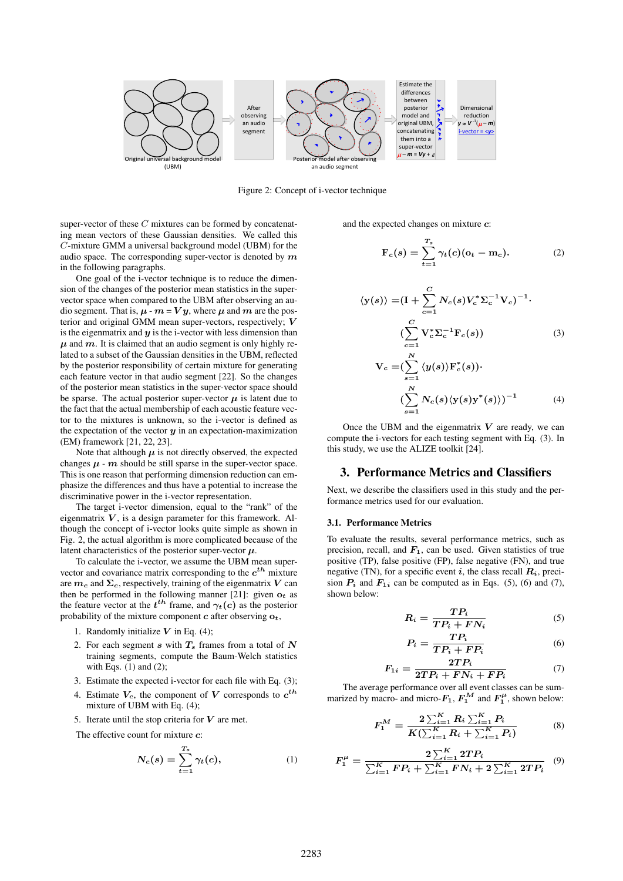

Figure 2: Concept of i-vector technique

super-vector of these  $C$  mixtures can be formed by concatenating mean vectors of these Gaussian densities. We called this C-mixture GMM a universal background model (UBM) for the audio space. The corresponding super-vector is denoted by  $m$ in the following paragraphs.

One goal of the i-vector technique is to reduce the dimension of the changes of the posterior mean statistics in the supervector space when compared to the UBM after observing an audio segment. That is,  $\mu$  -  $m = Vy$ , where  $\mu$  and  $m$  are the posterior and original GMM mean super-vectors, respectively; V is the eigenmatrix and  $y$  is the i-vector with less dimension than  $\mu$  and  $m$ . It is claimed that an audio segment is only highly related to a subset of the Gaussian densities in the UBM, reflected by the posterior responsibility of certain mixture for generating each feature vector in that audio segment [22]. So the changes of the posterior mean statistics in the super-vector space should be sparse. The actual posterior super-vector  $\mu$  is latent due to the fact that the actual membership of each acoustic feature vector to the mixtures is unknown, so the i-vector is defined as the expectation of the vector  $y$  in an expectation-maximization (EM) framework [21, 22, 23].

Note that although  $\mu$  is not directly observed, the expected changes  $\mu$  -  $m$  should be still sparse in the super-vector space. This is one reason that performing dimension reduction can emphasize the differences and thus have a potential to increase the discriminative power in the i-vector representation.

The target i-vector dimension, equal to the "rank" of the eigenmatrix  $V$ , is a design parameter for this framework. Although the concept of i-vector looks quite simple as shown in Fig. 2, the actual algorithm is more complicated because of the latent characteristics of the posterior super-vector  $\mu$ .

To calculate the i-vector, we assume the UBM mean supervector and covariance matrix corresponding to the  $c^{th}$  mixture are  $m_c$  and  $\Sigma_c$ , respectively, training of the eigenmatrix V can then be performed in the following manner [21]: given  $o_t$  as the feature vector at the  $t^{th}$  frame, and  $\gamma_t(c)$  as the posterior probability of the mixture component  $c$  after observing  $o_t$ ,

- 1. Randomly initialize  $V$  in Eq. (4);
- 2. For each segment s with  $T_s$  frames from a total of N training segments, compute the Baum-Welch statistics with Eqs.  $(1)$  and  $(2)$ ;
- 3. Estimate the expected i-vector for each file with Eq. (3);
- 4. Estimate  $V_c$ , the component of V corresponds to  $c^{th}$ mixture of UBM with Eq.  $(4)$ :
- 5. Iterate until the stop criteria for  $V$  are met.

The effective count for mixture  $c$ :

$$
N_c(s) = \sum_{t=1}^{T_s} \gamma_t(c), \qquad (1)
$$

and the expected changes on mixture c:

$$
\mathbf{F}_c(s) = \sum_{t=1}^{T_s} \gamma_t(c)(\mathbf{o}_t - \mathbf{m}_c). \tag{2}
$$

$$
\langle \mathbf{y}(s) \rangle = (\mathbf{I} + \sum_{c=1}^{C} N_c(s) V_c^* \Sigma_c^{-1} \mathbf{V}_c)^{-1}.
$$
  

$$
(\sum_{c=1}^{C} \mathbf{V}_c^* \Sigma_c^{-1} \mathbf{F}_c(s))
$$
 (3)

$$
\mathbf{V}_c = \left(\sum_{s=1}^N \langle y(s) \rangle \mathbf{F}_c^*(s)\right) \cdot \left(\sum_{s=1}^N N_c(s) \langle y(s) y^*(s) \rangle\right)^{-1} \tag{4}
$$

Once the UBM and the eigenmatrix  $V$  are ready, we can compute the i-vectors for each testing segment with Eq. (3). In this study, we use the ALIZE toolkit [24].

# 3. Performance Metrics and Classifiers

Next, we describe the classifiers used in this study and the performance metrics used for our evaluation.

#### 3.1. Performance Metrics

To evaluate the results, several performance metrics, such as precision, recall, and  $F_1$ , can be used. Given statistics of true positive (TP), false positive (FP), false negative (FN), and true negative (TN), for a specific event i, the class recall  $R_i$ , precision  $P_i$  and  $F_{1i}$  can be computed as in Eqs. (5), (6) and (7), shown below:

$$
R_i = \frac{TP_i}{TP_i + FN_i} \tag{5}
$$

$$
P_i = \frac{TP_i}{TP_i + FP_i} \tag{6}
$$

$$
F_{1i} = \frac{2TP_i}{2TP_i + FN_i + FP_i} \tag{7}
$$

The average performance over all event classes can be summarized by macro- and micro- $F_1$ ,  $F_1^M$  and  $F_1^{\mu}$ , shown below:

$$
F_1^M = \frac{2\sum_{i=1}^K R_i \sum_{i=1}^K P_i}{K(\sum_{i=1}^K R_i + \sum_{i=1}^K P_i)}
$$
(8)

$$
F_1^{\mu} = \frac{2\sum_{i=1}^{K} 2TP_i}{\sum_{i=1}^{K} FP_i + \sum_{i=1}^{K} FN_i + 2\sum_{i=1}^{K} 2TP_i} \quad (9)
$$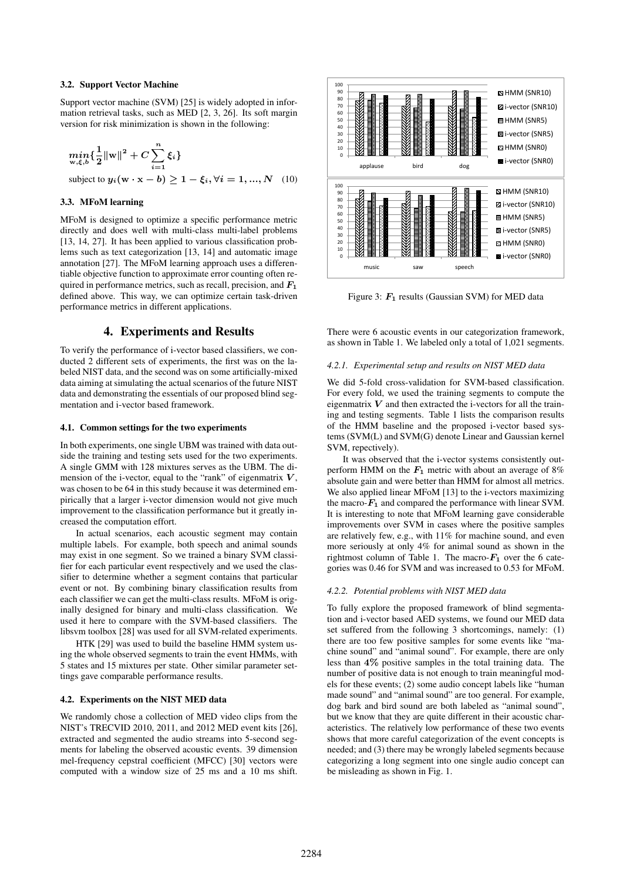### 3.2. Support Vector Machine

Support vector machine (SVM) [25] is widely adopted in information retrieval tasks, such as MED [2, 3, 26]. Its soft margin version for risk minimization is shown in the following:

$$
\min_{w,\xi,b} \{\frac{1}{2} ||w||^2 + C \sum_{i=1}^n \xi_i\}
$$
  
subject to  $y_i(w \cdot x - b) \ge 1 - \xi_i, \forall i = 1, ..., N$  (10)

# 3.3. MFoM learning

MFoM is designed to optimize a specific performance metric directly and does well with multi-class multi-label problems [13, 14, 27]. It has been applied to various classification problems such as text categorization [13, 14] and automatic image annotation [27]. The MFoM learning approach uses a differentiable objective function to approximate error counting often required in performance metrics, such as recall, precision, and  $F_1$ defined above. This way, we can optimize certain task-driven performance metrics in different applications.

# 4. Experiments and Results

To verify the performance of i-vector based classifiers, we conducted 2 different sets of experiments, the first was on the labeled NIST data, and the second was on some artificially-mixed data aiming at simulating the actual scenarios of the future NIST data and demonstrating the essentials of our proposed blind segmentation and i-vector based framework.

#### 4.1. Common settings for the two experiments

In both experiments, one single UBM was trained with data outside the training and testing sets used for the two experiments. A single GMM with 128 mixtures serves as the UBM. The dimension of the i-vector, equal to the "rank" of eigenmatrix  $V$ , was chosen to be 64 in this study because it was determined empirically that a larger i-vector dimension would not give much improvement to the classification performance but it greatly increased the computation effort.

In actual scenarios, each acoustic segment may contain multiple labels. For example, both speech and animal sounds may exist in one segment. So we trained a binary SVM classifier for each particular event respectively and we used the classifier to determine whether a segment contains that particular event or not. By combining binary classification results from each classifier we can get the multi-class results. MFoM is originally designed for binary and multi-class classification. We used it here to compare with the SVM-based classifiers. The libsvm toolbox [28] was used for all SVM-related experiments.

HTK [29] was used to build the baseline HMM system using the whole observed segments to train the event HMMs, with 5 states and 15 mixtures per state. Other similar parameter settings gave comparable performance results.

#### 4.2. Experiments on the NIST MED data

We randomly chose a collection of MED video clips from the NIST's TRECVID 2010, 2011, and 2012 MED event kits [26], extracted and segmented the audio streams into 5-second segments for labeling the observed acoustic events. 39 dimension mel-frequency cepstral coefficient (MFCC) [30] vectors were computed with a window size of 25 ms and a 10 ms shift.



Figure 3:  $F_1$  results (Gaussian SVM) for MED data

There were 6 acoustic events in our categorization framework, as shown in Table 1. We labeled only a total of 1,021 segments.

#### *4.2.1. Experimental setup and results on NIST MED data*

We did 5-fold cross-validation for SVM-based classification. For every fold, we used the training segments to compute the eigenmatrix  $V$  and then extracted the i-vectors for all the training and testing segments. Table 1 lists the comparison results of the HMM baseline and the proposed i-vector based systems (SVM(L) and SVM(G) denote Linear and Gaussian kernel SVM, repectively).

It was observed that the i-vector systems consistently outperform HMM on the  $F_1$  metric with about an average of 8% absolute gain and were better than HMM for almost all metrics. We also applied linear MFoM [13] to the i-vectors maximizing the macro- $F_1$  and compared the performance with linear SVM. It is interesting to note that MFoM learning gave considerable improvements over SVM in cases where the positive samples are relatively few, e.g., with 11% for machine sound, and even more seriously at only 4% for animal sound as shown in the rightmost column of Table 1. The macro- $F_1$  over the 6 categories was 0.46 for SVM and was increased to 0.53 for MFoM.

### *4.2.2. Potential problems with NIST MED data*

To fully explore the proposed framework of blind segmentation and i-vector based AED systems, we found our MED data set suffered from the following 3 shortcomings, namely: (1) there are too few positive samples for some events like "machine sound" and "animal sound". For example, there are only less than 4% positive samples in the total training data. The number of positive data is not enough to train meaningful models for these events; (2) some audio concept labels like "human made sound" and "animal sound" are too general. For example, dog bark and bird sound are both labeled as "animal sound", but we know that they are quite different in their acoustic characteristics. The relatively low performance of these two events shows that more careful categorization of the event concepts is needed; and (3) there may be wrongly labeled segments because categorizing a long segment into one single audio concept can be misleading as shown in Fig. 1.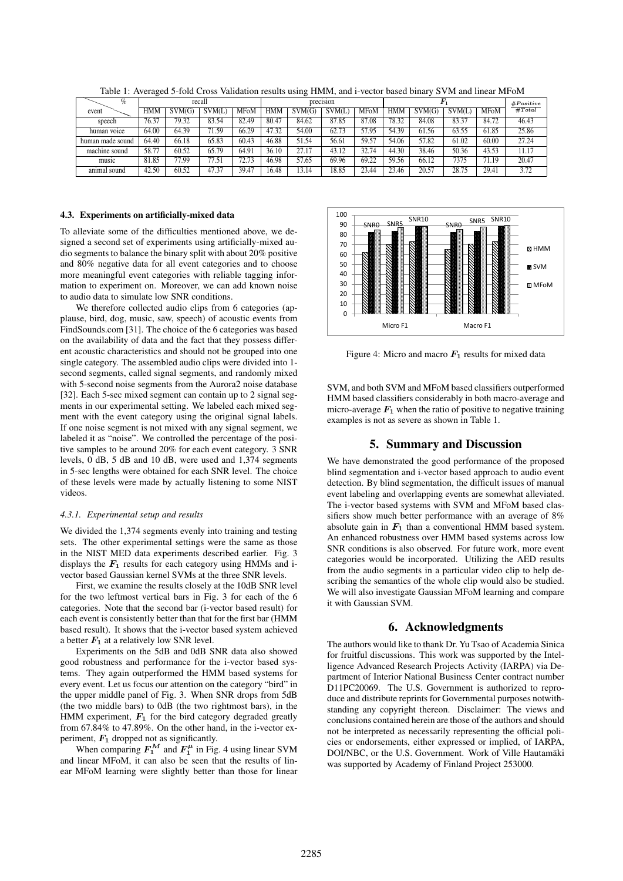| $\%$             | recall     |        |        |             | $\cdot$ $\cdot$<br>precision |        |        |             | F,         |        |        |             | #Positive |
|------------------|------------|--------|--------|-------------|------------------------------|--------|--------|-------------|------------|--------|--------|-------------|-----------|
| event            | <b>HMM</b> | SVM(G) | SVM(L) | <b>MFoM</b> | <b>HMM</b>                   | SVM(G) | SVM(L) | <b>MFoM</b> | <b>HMM</b> | SVM(G) | SVM(L) | <b>MFoM</b> | #Total    |
| speech           | 76.37      | 79.32  | 83.54  | 82.49       | 80.47                        | 84.62  | 87.85  | 87.08       | 78.32      | 84.08  | 83.37  | 84.72       | 46.43     |
| human voice      | 64.00      | 64.39  | 71.59  | 66.29       | 47.32                        | 54.00  | 62.73  | 57.95       | 54.39      | 61.56  | 63.55  | 61.85       | 25.86     |
| human made sound | 64.40      | 66.18  | 65.83  | 60.43       | 46.88                        | 51.54  | 56.61  | 59.57       | 54.06      | 57.82  | 61.02  | 60.00       | 27.24     |
| machine sound    | 58.77      | 60.52  | 65.79  | 64.91       | 36.10                        | 27.17  | 43.12  | 32.74       | 44.30      | 38.46  | 50.36  | 43.53       | 11.17     |
| music            | 81.85      | 77.99  | 77.51  | 72.73       | 46.98                        | 57.65  | 69.96  | 69.22       | 59.56      | 66.12  | 7375   | 71.19       | 20.47     |
| animal sound     | 42.50      | 60.52  | 47.37  | 39.47       | 16.48                        | 13.14  | 18.85  | 23.44       | 23.46      | 20.57  | 28.75  | 29.41       | 3.72      |

Table 1: Averaged 5-fold Cross Validation results using HMM, and i-vector based binary SVM and linear MFoM <sup>P</sup>

#### 4.3. Experiments on artificially-mixed data

To alleviate some of the difficulties mentioned above, we designed a second set of experiments using artificially-mixed audio segments to balance the binary split with about 20% positive and 80% negative data for all event categories and to choose more meaningful event categories with reliable tagging information to experiment on. Moreover, we can add known noise to audio data to simulate low SNR conditions.

We therefore collected audio clips from 6 categories (applause, bird, dog, music, saw, speech) of acoustic events from FindSounds.com [31]. The choice of the 6 categories was based on the availability of data and the fact that they possess different acoustic characteristics and should not be grouped into one single category. The assembled audio clips were divided into 1 second segments, called signal segments, and randomly mixed with 5-second noise segments from the Aurora2 noise database [32]. Each 5-sec mixed segment can contain up to 2 signal segments in our experimental setting. We labeled each mixed segment with the event category using the original signal labels. If one noise segment is not mixed with any signal segment, we labeled it as "noise". We controlled the percentage of the positive samples to be around 20% for each event category. 3 SNR levels, 0 dB, 5 dB and 10 dB, were used and 1,374 segments in 5-sec lengths were obtained for each SNR level. The choice of these levels were made by actually listening to some NIST videos.

#### *4.3.1. Experimental setup and results*

We divided the 1,374 segments evenly into training and testing sets. The other experimental settings were the same as those in the NIST MED data experiments described earlier. Fig. 3 displays the  $F_1$  results for each category using HMMs and ivector based Gaussian kernel SVMs at the three SNR levels.

First, we examine the results closely at the 10dB SNR level for the two leftmost vertical bars in Fig. 3 for each of the 6 categories. Note that the second bar (i-vector based result) for each event is consistently better than that for the first bar (HMM based result). It shows that the i-vector based system achieved a better  $F_1$  at a relatively low SNR level.

Experiments on the 5dB and 0dB SNR data also showed good robustness and performance for the i-vector based systems. They again outperformed the HMM based systems for every event. Let us focus our attention on the category "bird" in the upper middle panel of Fig. 3. When SNR drops from 5dB (the two middle bars) to 0dB (the two rightmost bars), in the HMM experiment,  $\mathbf{F}_1$  for the bird category degraded greatly from 67.84% to 47.89%. On the other hand, in the i-vector experiment,  $F_1$  dropped not as significantly.

When comparing  $F_1^M$  and  $F_1^\mu$  in Fig. 4 using linear SVM and linear MFoM, it can also be seen that the results of linear MFoM learning were slightly better than those for linear



Figure 4: Micro and macro  $F_1$  results for mixed data

SVM, and both SVM and MFoM based classifiers outperformed HMM based classifiers considerably in both macro-average and micro-average  $F_1$  when the ratio of positive to negative training examples is not as severe as shown in Table 1.

# 5. Summary and Discussion

We have demonstrated the good performance of the proposed blind segmentation and i-vector based approach to audio event detection. By blind segmentation, the difficult issues of manual event labeling and overlapping events are somewhat alleviated. The i-vector based systems with SVM and MFoM based classifiers show much better performance with an average of 8% absolute gain in  $F_1$  than a conventional HMM based system. An enhanced robustness over HMM based systems across low SNR conditions is also observed. For future work, more event categories would be incorporated. Utilizing the AED results from the audio segments in a particular video clip to help describing the semantics of the whole clip would also be studied. We will also investigate Gaussian MFoM learning and compare it with Gaussian SVM.

# 6. Acknowledgments

The authors would like to thank Dr. Yu Tsao of Academia Sinica for fruitful discussions. This work was supported by the Intelligence Advanced Research Projects Activity (IARPA) via Department of Interior National Business Center contract number D11PC20069. The U.S. Government is authorized to reproduce and distribute reprints for Governmental purposes notwithstanding any copyright thereon. Disclaimer: The views and conclusions contained herein are those of the authors and should not be interpreted as necessarily representing the official policies or endorsements, either expressed or implied, of IARPA, DOI/NBC, or the U.S. Government. Work of Ville Hautamäki was supported by Academy of Finland Project 253000.